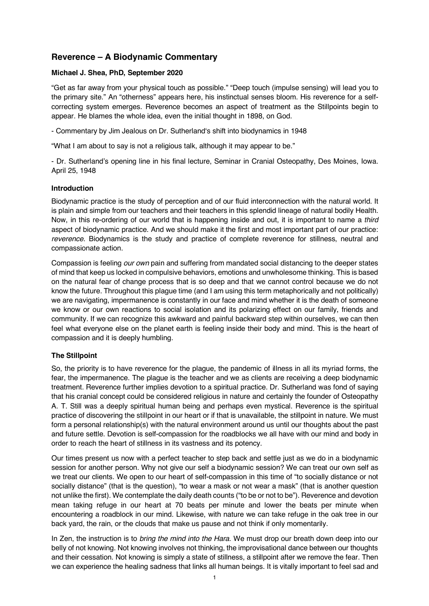# **Reverence – A Biodynamic Commentary**

### **Michael J. Shea, PhD, September 2020**

"Get as far away from your physical touch as possible." "Deep touch (impulse sensing) will lead you to the primary site." An "otherness" appears here, his instinctual senses bloom. His reverence for a selfcorrecting system emerges. Reverence becomes an aspect of treatment as the Stillpoints begin to appear. He blames the whole idea, even the initial thought in 1898, on God.

- Commentary by Jim Jealous on Dr. Sutherland's shift into biodynamics in 1948

"What I am about to say is not a religious talk, although it may appear to be."

- Dr. Sutherland's opening line in his final lecture, Seminar in Cranial Osteopathy, Des Moines, Iowa. April 25, 1948

#### **Introduction**

Biodynamic practice is the study of perception and of our fluid interconnection with the natural world. It is plain and simple from our teachers and their teachers in this splendid lineage of natural bodily Health. Now, in this re-ordering of our world that is happening inside and out, it is important to name a *third* aspect of biodynamic practice. And we should make it the first and most important part of our practice: *reverence*. Biodynamics is the study and practice of complete reverence for stillness, neutral and compassionate action.

Compassion is feeling *our own* pain and suffering from mandated social distancing to the deeper states of mind that keep us locked in compulsive behaviors, emotions and unwholesome thinking. This is based on the natural fear of change process that is so deep and that we cannot control because we do not know the future. Throughout this plague time (and I am using this term metaphorically and not politically) we are navigating, impermanence is constantly in our face and mind whether it is the death of someone we know or our own reactions to social isolation and its polarizing effect on our family, friends and community. If we can recognize this awkward and painful backward step within ourselves, we can then feel what everyone else on the planet earth is feeling inside their body and mind. This is the heart of compassion and it is deeply humbling.

### **The Stillpoint**

So, the priority is to have reverence for the plague, the pandemic of illness in all its myriad forms, the fear, the impermanence. The plague is the teacher and we as clients are receiving a deep biodynamic treatment. Reverence further implies devotion to a spiritual practice. Dr. Sutherland was fond of saying that his cranial concept could be considered religious in nature and certainly the founder of Osteopathy A. T. Still was a deeply spiritual human being and perhaps even mystical. Reverence is the spiritual practice of discovering the stillpoint in our heart or if that is unavailable, the stillpoint in nature. We must form a personal relationship(s) with the natural environment around us until our thoughts about the past and future settle. Devotion is self-compassion for the roadblocks we all have with our mind and body in order to reach the heart of stillness in its vastness and its potency.

Our times present us now with a perfect teacher to step back and settle just as we do in a biodynamic session for another person. Why not give our self a biodynamic session? We can treat our own self as we treat our clients. We open to our heart of self-compassion in this time of "to socially distance or not socially distance" (that is the question), "to wear a mask or not wear a mask" (that is another question not unlike the first). We contemplate the daily death counts ("to be or not to be"). Reverence and devotion mean taking refuge in our heart at 70 beats per minute and lower the beats per minute when encountering a roadblock in our mind. Likewise, with nature we can take refuge in the oak tree in our back yard, the rain, or the clouds that make us pause and not think if only momentarily.

In Zen, the instruction is to *bring the mind into the Hara*. We must drop our breath down deep into our belly of not knowing. Not knowing involves not thinking, the improvisational dance between our thoughts and their cessation. Not knowing is simply a state of stillness, a stillpoint after we remove the fear. Then we can experience the healing sadness that links all human beings. It is vitally important to feel sad and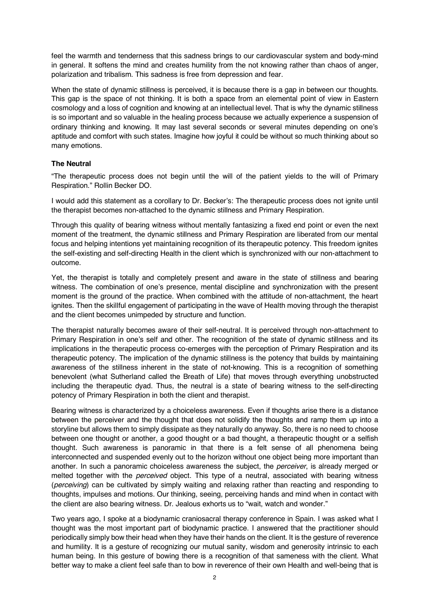feel the warmth and tenderness that this sadness brings to our cardiovascular system and body-mind in general. It softens the mind and creates humility from the not knowing rather than chaos of anger, polarization and tribalism. This sadness is free from depression and fear.

When the state of dynamic stillness is perceived, it is because there is a gap in between our thoughts. This gap is the space of not thinking. It is both a space from an elemental point of view in Eastern cosmology and a loss of cognition and knowing at an intellectual level. That is why the dynamic stillness is so important and so valuable in the healing process because we actually experience a suspension of ordinary thinking and knowing. It may last several seconds or several minutes depending on one's aptitude and comfort with such states. Imagine how joyful it could be without so much thinking about so many emotions.

## **The Neutral**

"The therapeutic process does not begin until the will of the patient yields to the will of Primary Respiration." Rollin Becker DO.

I would add this statement as a corollary to Dr. Becker's: The therapeutic process does not ignite until the therapist becomes non-attached to the dynamic stillness and Primary Respiration.

Through this quality of bearing witness without mentally fantasizing a fixed end point or even the next moment of the treatment, the dynamic stillness and Primary Respiration are liberated from our mental focus and helping intentions yet maintaining recognition of its therapeutic potency. This freedom ignites the self-existing and self-directing Health in the client which is synchronized with our non-attachment to outcome.

Yet, the therapist is totally and completely present and aware in the state of stillness and bearing witness. The combination of one's presence, mental discipline and synchronization with the present moment is the ground of the practice. When combined with the attitude of non-attachment, the heart ignites. Then the skillful engagement of participating in the wave of Health moving through the therapist and the client becomes unimpeded by structure and function.

The therapist naturally becomes aware of their self-neutral. It is perceived through non-attachment to Primary Respiration in one's self and other. The recognition of the state of dynamic stillness and its implications in the therapeutic process co-emerges with the perception of Primary Respiration and its therapeutic potency. The implication of the dynamic stillness is the potency that builds by maintaining awareness of the stillness inherent in the state of not-knowing. This is a recognition of something benevolent (what Sutherland called the Breath of Life) that moves through everything unobstructed including the therapeutic dyad. Thus, the neutral is a state of bearing witness to the self-directing potency of Primary Respiration in both the client and therapist.

Bearing witness is characterized by a choiceless awareness. Even if thoughts arise there is a distance between the perceiver and the thought that does not solidify the thoughts and ramp them up into a storyline but allows them to simply dissipate as they naturally do anyway. So, there is no need to choose between one thought or another, a good thought or a bad thought, a therapeutic thought or a selfish thought. Such awareness is panoramic in that there is a felt sense of all phenomena being interconnected and suspended evenly out to the horizon without one object being more important than another. In such a panoramic choiceless awareness the subject, the *perceiver*, is already merged or melted together with the *perceived* object. This type of a neutral, associated with bearing witness (*perceiving*) can be cultivated by simply waiting and relaxing rather than reacting and responding to thoughts, impulses and motions. Our thinking, seeing, perceiving hands and mind when in contact with the client are also bearing witness. Dr. Jealous exhorts us to "wait, watch and wonder."

Two years ago, I spoke at a biodynamic craniosacral therapy conference in Spain. I was asked what I thought was the most important part of biodynamic practice. I answered that the practitioner should periodically simply bow their head when they have their hands on the client. It is the gesture of reverence and humility. It is a gesture of recognizing our mutual sanity, wisdom and generosity intrinsic to each human being. In this gesture of bowing there is a recognition of that sameness with the client. What better way to make a client feel safe than to bow in reverence of their own Health and well-being that is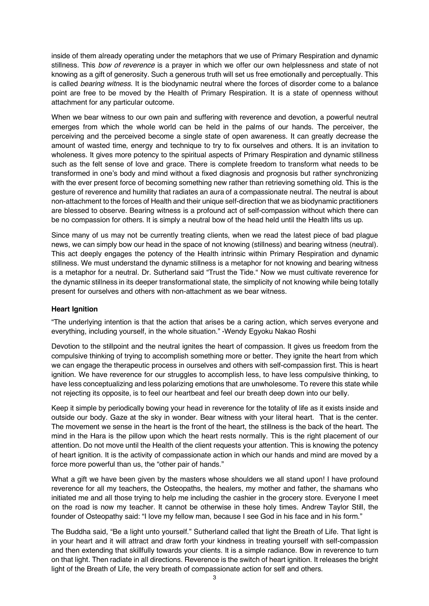inside of them already operating under the metaphors that we use of Primary Respiration and dynamic stillness. This *bow of reverence* is a prayer in which we offer our own helplessness and state of not knowing as a gift of generosity. Such a generous truth will set us free emotionally and perceptually. This is called *bearing witness*. It is the biodynamic neutral where the forces of disorder come to a balance point are free to be moved by the Health of Primary Respiration. It is a state of openness without attachment for any particular outcome.

When we bear witness to our own pain and suffering with reverence and devotion, a powerful neutral emerges from which the whole world can be held in the palms of our hands. The perceiver, the perceiving and the perceived become a single state of open awareness. It can greatly decrease the amount of wasted time, energy and technique to try to fix ourselves and others. It is an invitation to wholeness. It gives more potency to the spiritual aspects of Primary Respiration and dynamic stillness such as the felt sense of love and grace. There is complete freedom to transform what needs to be transformed in one's body and mind without a fixed diagnosis and prognosis but rather synchronizing with the ever present force of becoming something new rather than retrieving something old. This is the gesture of reverence and humility that radiates an aura of a compassionate neutral. The neutral is about non-attachment to the forces of Health and their unique self-direction that we as biodynamic practitioners are blessed to observe. Bearing witness is a profound act of self-compassion without which there can be no compassion for others. It is simply a neutral bow of the head held until the Health lifts us up.

Since many of us may not be currently treating clients, when we read the latest piece of bad plague news, we can simply bow our head in the space of not knowing (stillness) and bearing witness (neutral). This act deeply engages the potency of the Health intrinsic within Primary Respiration and dynamic stillness. We must understand the dynamic stillness is a metaphor for not knowing and bearing witness is a metaphor for a neutral. Dr. Sutherland said "Trust the Tide." Now we must cultivate reverence for the dynamic stillness in its deeper transformational state, the simplicity of not knowing while being totally present for ourselves and others with non-attachment as we bear witness.

### **Heart Ignition**

"The underlying intention is that the action that arises be a caring action, which serves everyone and everything, including yourself, in the whole situation." -Wendy Egyoku Nakao Roshi

Devotion to the stillpoint and the neutral ignites the heart of compassion. It gives us freedom from the compulsive thinking of trying to accomplish something more or better. They ignite the heart from which we can engage the therapeutic process in ourselves and others with self-compassion first. This is heart ignition. We have reverence for our struggles to accomplish less, to have less compulsive thinking, to have less conceptualizing and less polarizing emotions that are unwholesome. To revere this state while not rejecting its opposite, is to feel our heartbeat and feel our breath deep down into our belly.

Keep it simple by periodically bowing your head in reverence for the totality of life as it exists inside and outside our body. Gaze at the sky in wonder. Bear witness with your literal heart. That is the center. The movement we sense in the heart is the front of the heart, the stillness is the back of the heart. The mind in the Hara is the pillow upon which the heart rests normally. This is the right placement of our attention. Do not move until the Health of the client requests your attention. This is knowing the potency of heart ignition. It is the activity of compassionate action in which our hands and mind are moved by a force more powerful than us, the "other pair of hands."

What a gift we have been given by the masters whose shoulders we all stand upon! I have profound reverence for all my teachers, the Osteopaths, the healers, my mother and father, the shamans who initiated me and all those trying to help me including the cashier in the grocery store. Everyone I meet on the road is now my teacher. It cannot be otherwise in these holy times. Andrew Taylor Still, the founder of Osteopathy said: "I love my fellow man, because I see God in his face and in his form."

The Buddha said, "Be a light unto yourself." Sutherland called that light the Breath of Life. That light is in your heart and it will attract and draw forth your kindness in treating yourself with self-compassion and then extending that skillfully towards your clients. It is a simple radiance. Bow in reverence to turn on that light. Then radiate in all directions. Reverence is the switch of heart ignition. It releases the bright light of the Breath of Life, the very breath of compassionate action for self and others.